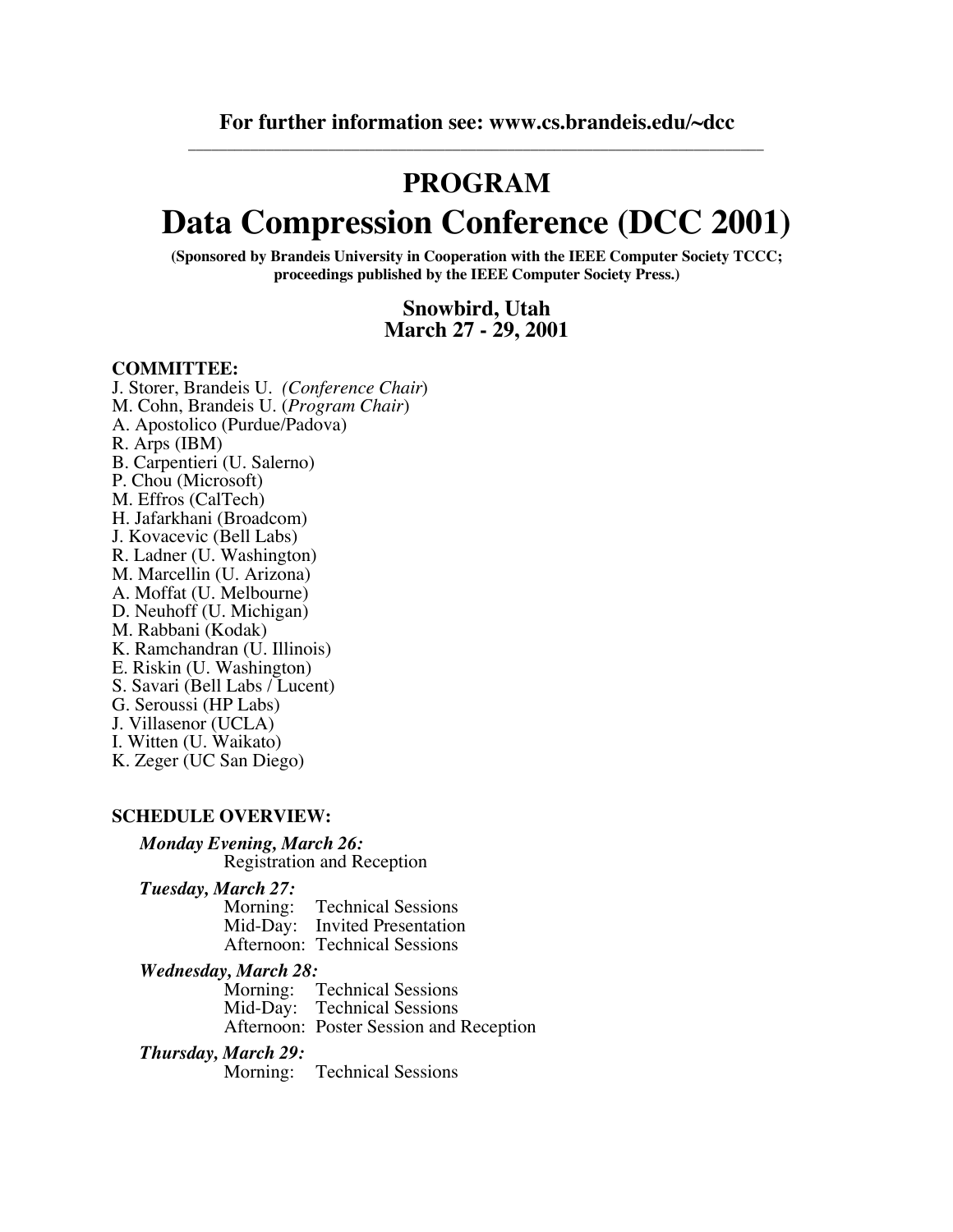## **PROGRAM**

# **Data Compression Conference (DCC 2001)**

**(Sponsored by Brandeis University in Cooperation with the IEEE Computer Society TCCC; proceedings published by the IEEE Computer Society Press.)**

## **Snowbird, Utah March 27 - 29, 2001**

### **COMMITTEE:**

J. Storer, Brandeis U. *(Conference Chair*) M. Cohn, Brandeis U. (*Program Chair*) A. Apostolico (Purdue/Padova) R. Arps (IBM) B. Carpentieri (U. Salerno) P. Chou (Microsoft) M. Effros (CalTech) H. Jafarkhani (Broadcom) J. Kovacevic (Bell Labs) R. Ladner (U. Washington) M. Marcellin (U. Arizona) A. Moffat (U. Melbourne) D. Neuhoff (U. Michigan) M. Rabbani (Kodak) K. Ramchandran (U. Illinois) E. Riskin (U. Washington) S. Savari (Bell Labs / Lucent) G. Seroussi (HP Labs) J. Villasenor (UCLA) I. Witten (U. Waikato) K. Zeger (UC San Diego)

### **SCHEDULE OVERVIEW:**

### *Monday Evening, March 26:* Registration and Reception

#### *Tuesday, March 27:*

Morning: Technical Sessions Mid-Day: Invited Presentation Afternoon: Technical Sessions

### *Wednesday, March 28:*

Morning: Technical Sessions Mid-Day: Technical Sessions Afternoon: Poster Session and Reception

### *Thursday, March 29:*

Morning: Technical Sessions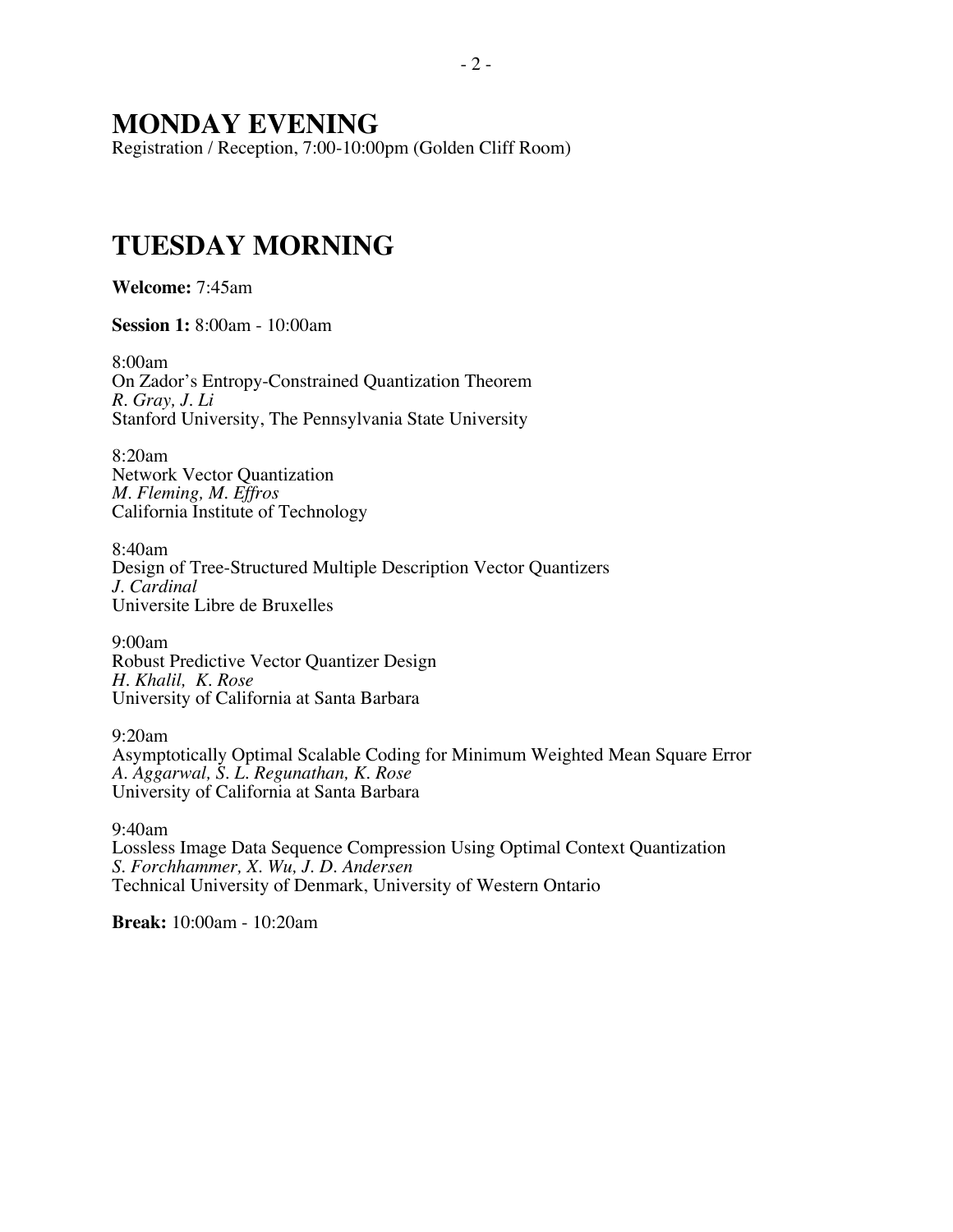## **MONDAY EVENING**

Registration / Reception, 7:00-10:00pm (Golden Cliff Room)

## **TUESDAY MORNING**

**Welcome:** 7:45am

**Session 1:** 8:00am - 10:00am

8:00am On Zador's Entropy-Constrained Quantization Theorem *R. Gray, J. Li* Stanford University, The Pennsylvania State University

8:20am Network Vector Quantization *M. Fleming, M. Effros* California Institute of Technology

8:40am Design of Tree-Structured Multiple Description Vector Quantizers *J. Cardinal* Universite Libre de Bruxelles

9:00am Robust Predictive Vector Quantizer Design *H. Khalil, K. Rose* University of California at Santa Barbara

9:20am Asymptotically Optimal Scalable Coding for Minimum Weighted Mean Square Error *A. Aggarwal, S. L. Regunathan, K. Rose* University of California at Santa Barbara

9:40am Lossless Image Data Sequence Compression Using Optimal Context Quantization *S. Forchhammer, X. Wu, J. D. Andersen* Technical University of Denmark, University of Western Ontario

**Break:** 10:00am - 10:20am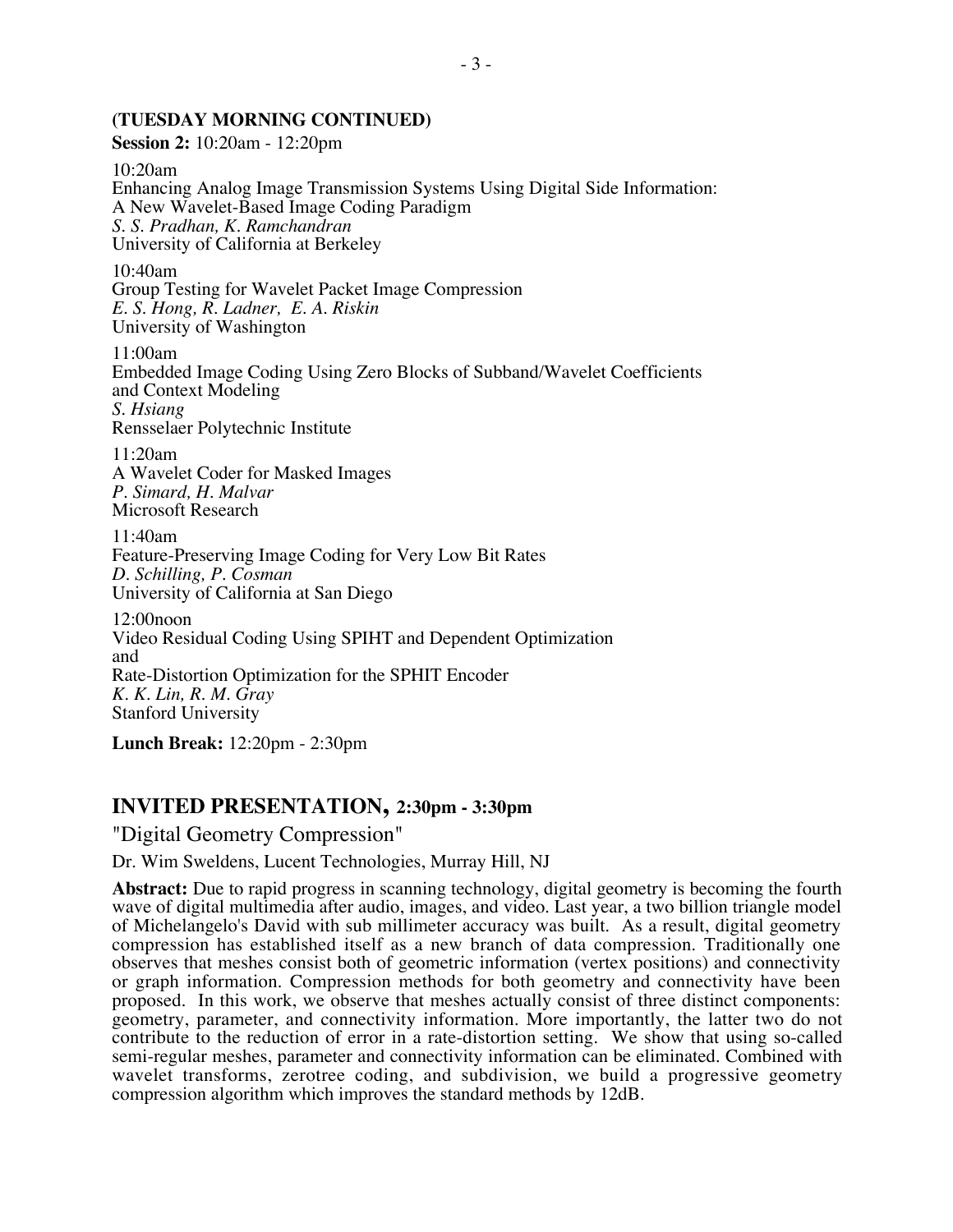## **(TUESDAY MORNING CONTINUED)**

**Session 2:** 10:20am - 12:20pm

10:20am Enhancing Analog Image Transmission Systems Using Digital Side Information: A New Wavelet-Based Image Coding Paradigm *S. S. Pradhan, K. Ramchandran* University of California at Berkeley

10:40am Group Testing for Wavelet Packet Image Compression *E. S. Hong, R. Ladner, E. A. Riskin* University of Washington

11:00am Embedded Image Coding Using Zero Blocks of Subband/Wavelet Coefficients and Context Modeling *S. Hsiang* Rensselaer Polytechnic Institute

11:20am A Wavelet Coder for Masked Images *P. Simard, H. Malvar* Microsoft Research

11:40am Feature-Preserving Image Coding for Very Low Bit Rates *D. Schilling, P. Cosman* University of California at San Diego

12:00noon Video Residual Coding Using SPIHT and Dependent Optimization and Rate-Distortion Optimization for the SPHIT Encoder *K. K. Lin, R. M. Gray* Stanford University

**Lunch Break:** 12:20pm - 2:30pm

## **INVITED PRESENTATION, 2:30pm - 3:30pm**

"Digital Geometry Compression"

Dr. Wim Sweldens, Lucent Technologies, Murray Hill, NJ

**Abstract:** Due to rapid progress in scanning technology, digital geometry is becoming the fourth wave of digital multimedia after audio, images, and video. Last year, a two billion triangle model of Michelangelo's David with sub millimeter accuracy was built. As a result, digital geometry compression has established itself as a new branch of data compression. Traditionally one observes that meshes consist both of geometric information (vertex positions) and connectivity or graph information. Compression methods for both geometry and connectivity have been proposed. In this work, we observe that meshes actually consist of three distinct components: geometry, parameter, and connectivity information. More importantly, the latter two do not contribute to the reduction of error in a rate-distortion setting. We show that using so-called semi-regular meshes, parameter and connectivity information can be eliminated. Combined with wavelet transforms, zerotree coding, and subdivision, we build a progressive geometry compression algorithm which improves the standard methods by 12dB.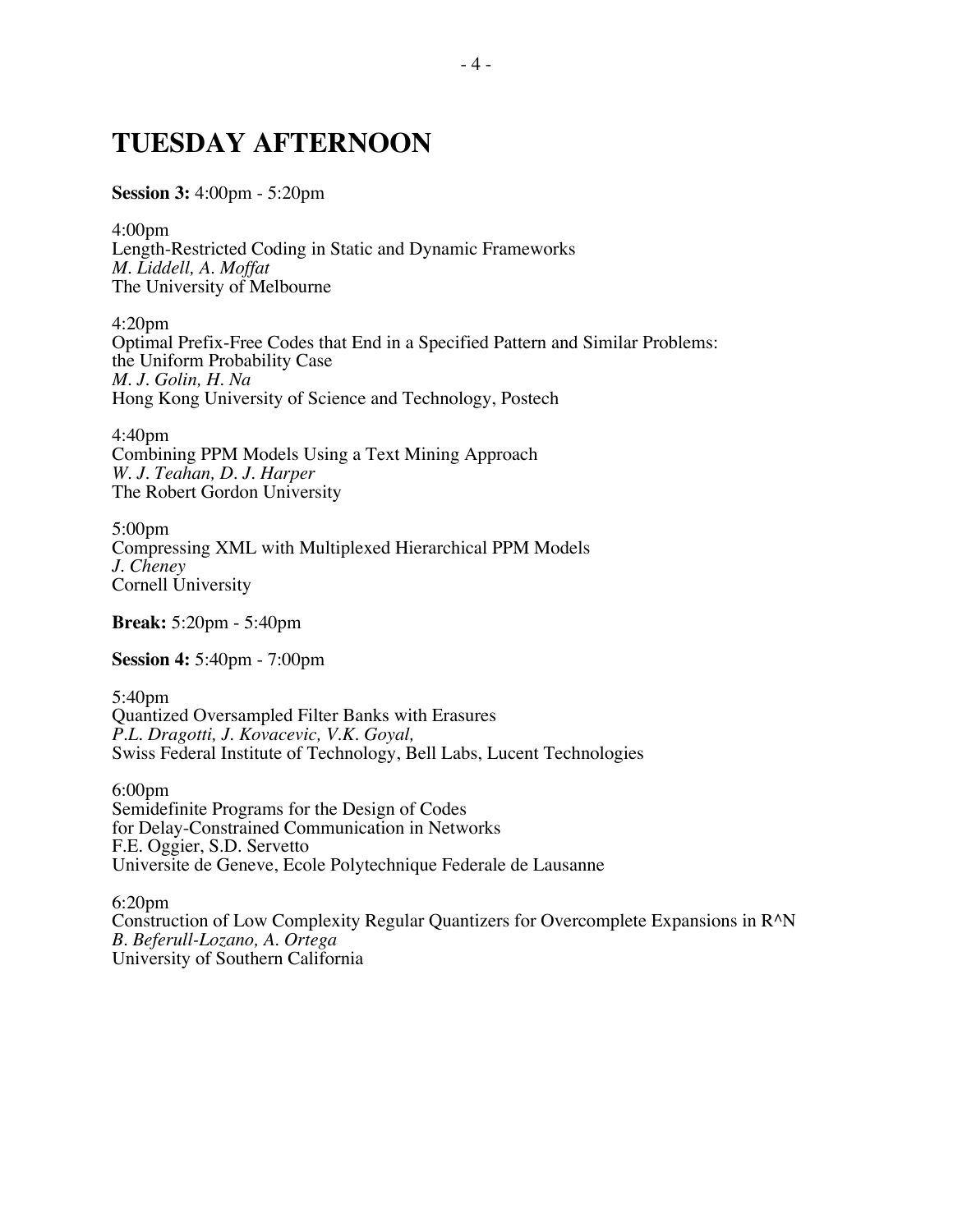## **TUESDAY AFTERNOON**

**Session 3:** 4:00pm - 5:20pm

4:00pm Length-Restricted Coding in Static and Dynamic Frameworks *M. Liddell, A. Moffat* The University of Melbourne

4:20pm Optimal Prefix-Free Codes that End in a Specified Pattern and Similar Problems: the Uniform Probability Case *M. J. Golin, H. Na* Hong Kong University of Science and Technology, Postech

4:40pm Combining PPM Models Using a Text Mining Approach *W. J. Teahan, D. J. Harper* The Robert Gordon University

5:00pm Compressing XML with Multiplexed Hierarchical PPM Models *J. Cheney* Cornell University

**Break:** 5:20pm - 5:40pm

**Session 4:** 5:40pm - 7:00pm

5:40pm Quantized Oversampled Filter Banks with Erasures *P.L. Dragotti, J. Kovacevic, V.K. Goyal,* Swiss Federal Institute of Technology, Bell Labs, Lucent Technologies

6:00pm Semidefinite Programs for the Design of Codes for Delay-Constrained Communication in Networks F.E. Oggier, S.D. Servetto Universite de Geneve, Ecole Polytechnique Federale de Lausanne

6:20pm Construction of Low Complexity Regular Quantizers for Overcomplete Expansions in R^N *B. Beferull-Lozano, A. Ortega* University of Southern California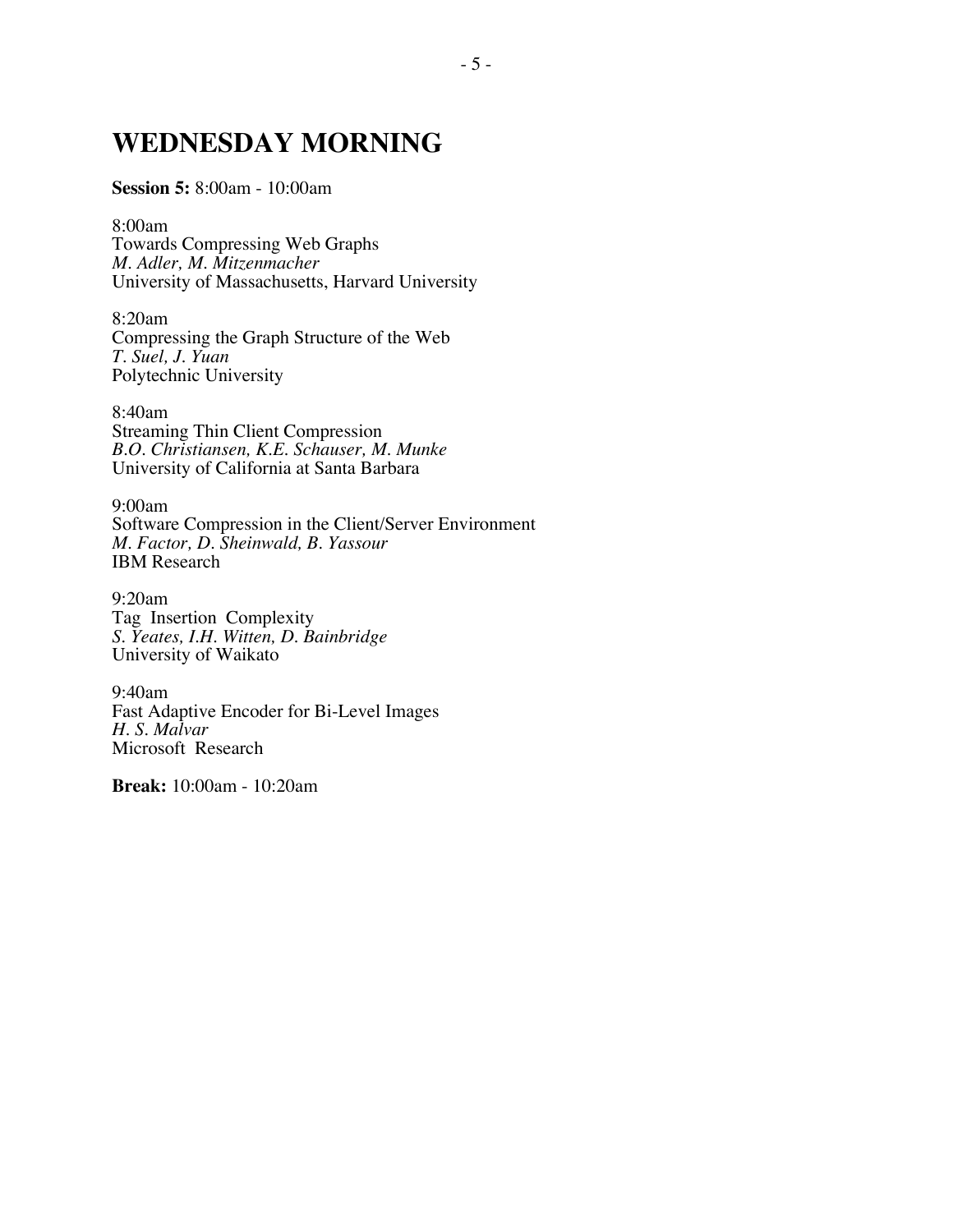## **WEDNESDAY MORNING**

### **Session 5:** 8:00am - 10:00am

8:00am Towards Compressing Web Graphs *M. Adler, M. Mitzenmacher* University of Massachusetts, Harvard University

8:20am Compressing the Graph Structure of the Web *T. Suel, J. Yuan* Polytechnic University

8:40am Streaming Thin Client Compression *B.O. Christiansen, K.E. Schauser, M. Munke* University of California at Santa Barbara

9:00am Software Compression in the Client/Server Environment *M. Factor, D. Sheinwald, B. Yassour* IBM Research

9:20am Tag Insertion Complexity *S. Yeates, I.H. Witten, D. Bainbridge* University of Waikato

9:40am Fast Adaptive Encoder for Bi-Level Images *H. S. Malvar* Microsoft Research

**Break:** 10:00am - 10:20am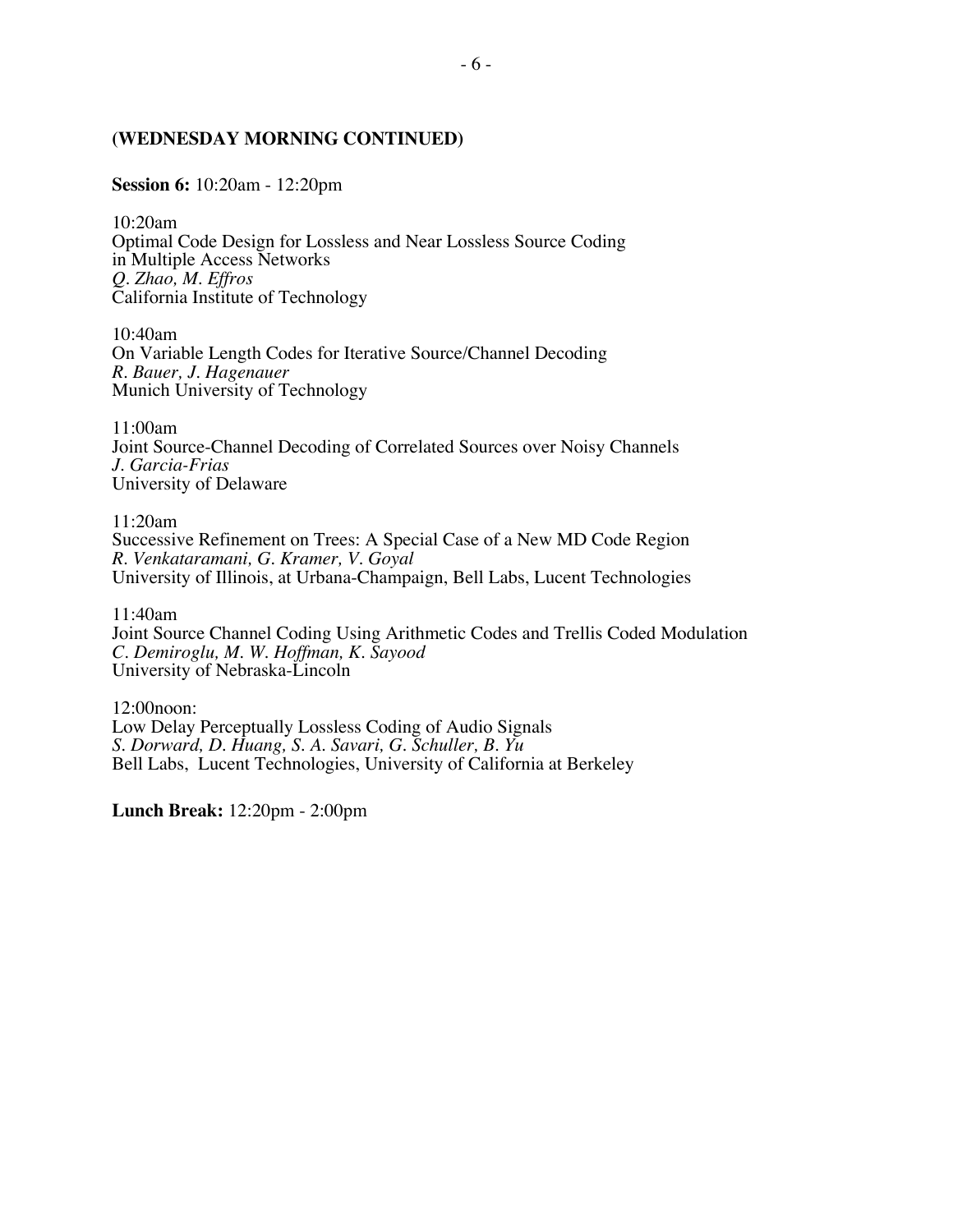### **(WEDNESDAY MORNING CONTINUED)**

**Session 6:** 10:20am - 12:20pm

10:20am Optimal Code Design for Lossless and Near Lossless Source Coding in Multiple Access Networks *Q. Zhao, M. Effros* California Institute of Technology

10:40am On Variable Length Codes for Iterative Source/Channel Decoding *R. Bauer, J. Hagenauer* Munich University of Technology

11:00am Joint Source-Channel Decoding of Correlated Sources over Noisy Channels *J. Garcia-Frias* University of Delaware

11:20am Successive Refinement on Trees: A Special Case of a New MD Code Region *R. Venkataramani, G. Kramer, V. Goyal* University of Illinois, at Urbana-Champaign, Bell Labs, Lucent Technologies

11:40am

Joint Source Channel Coding Using Arithmetic Codes and Trellis Coded Modulation *C. Demiroglu, M. W. Hoffman, K. Sayood* University of Nebraska-Lincoln

12:00noon: Low Delay Perceptually Lossless Coding of Audio Signals *S. Dorward, D. Huang, S. A. Savari, G. Schuller, B. Yu* Bell Labs, Lucent Technologies, University of California at Berkeley

**Lunch Break:** 12:20pm - 2:00pm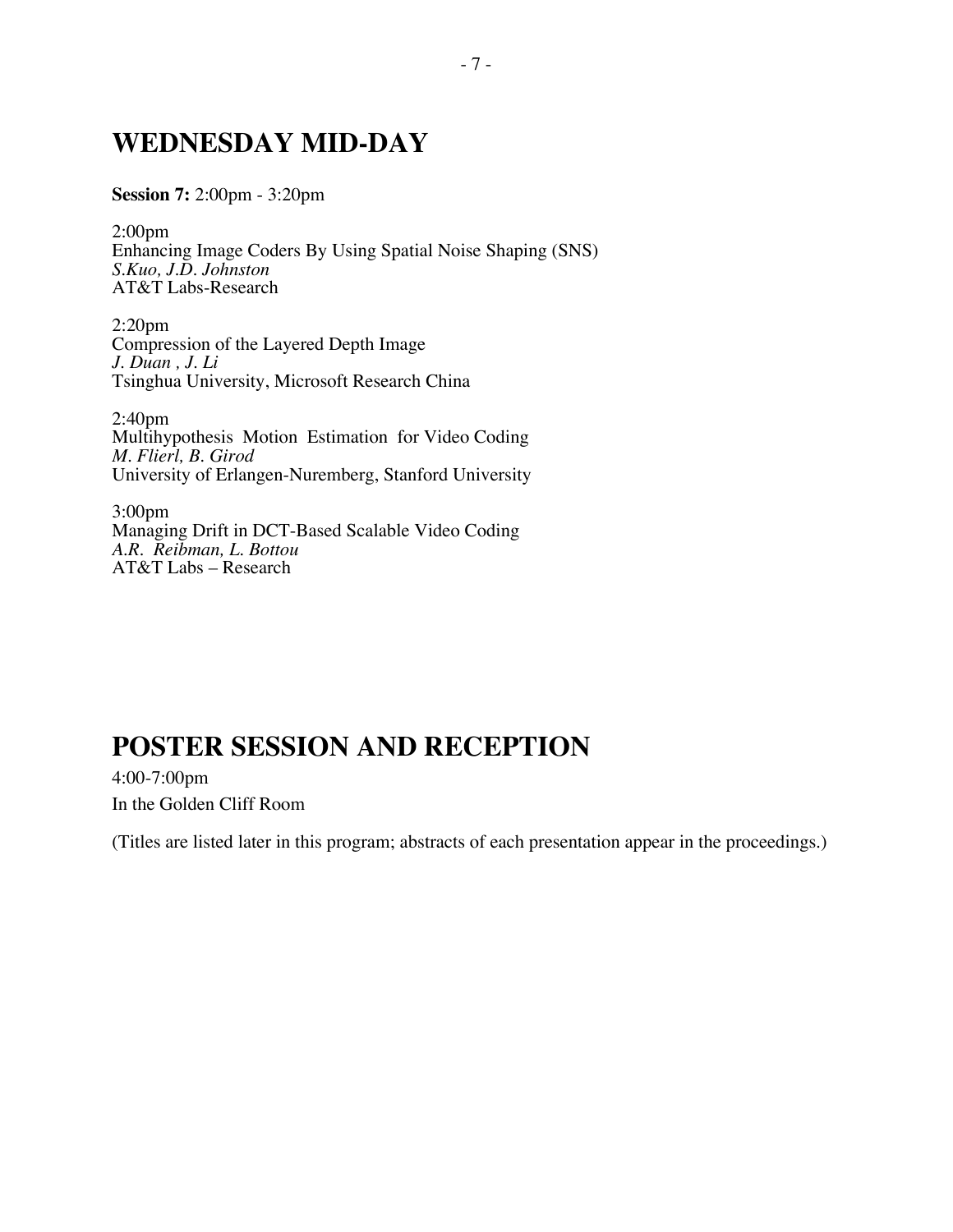## **WEDNESDAY MID-DAY**

**Session 7:** 2:00pm - 3:20pm

2:00pm Enhancing Image Coders By Using Spatial Noise Shaping (SNS) *S.Kuo, J.D. Johnston* AT&T Labs-Research

2:20pm Compression of the Layered Depth Image *J. Duan , J. Li* Tsinghua University, Microsoft Research China

2:40pm Multihypothesis Motion Estimation for Video Coding *M. Flierl, B. Girod* University of Erlangen-Nuremberg, Stanford University

3:00pm Managing Drift in DCT-Based Scalable Video Coding *A*.*R. Reibman, L. Bottou* AT&T Labs – Research

## **POSTER SESSION AND RECEPTION**

4:00-7:00pm In the Golden Cliff Room

(Titles are listed later in this program; abstracts of each presentation appear in the proceedings.)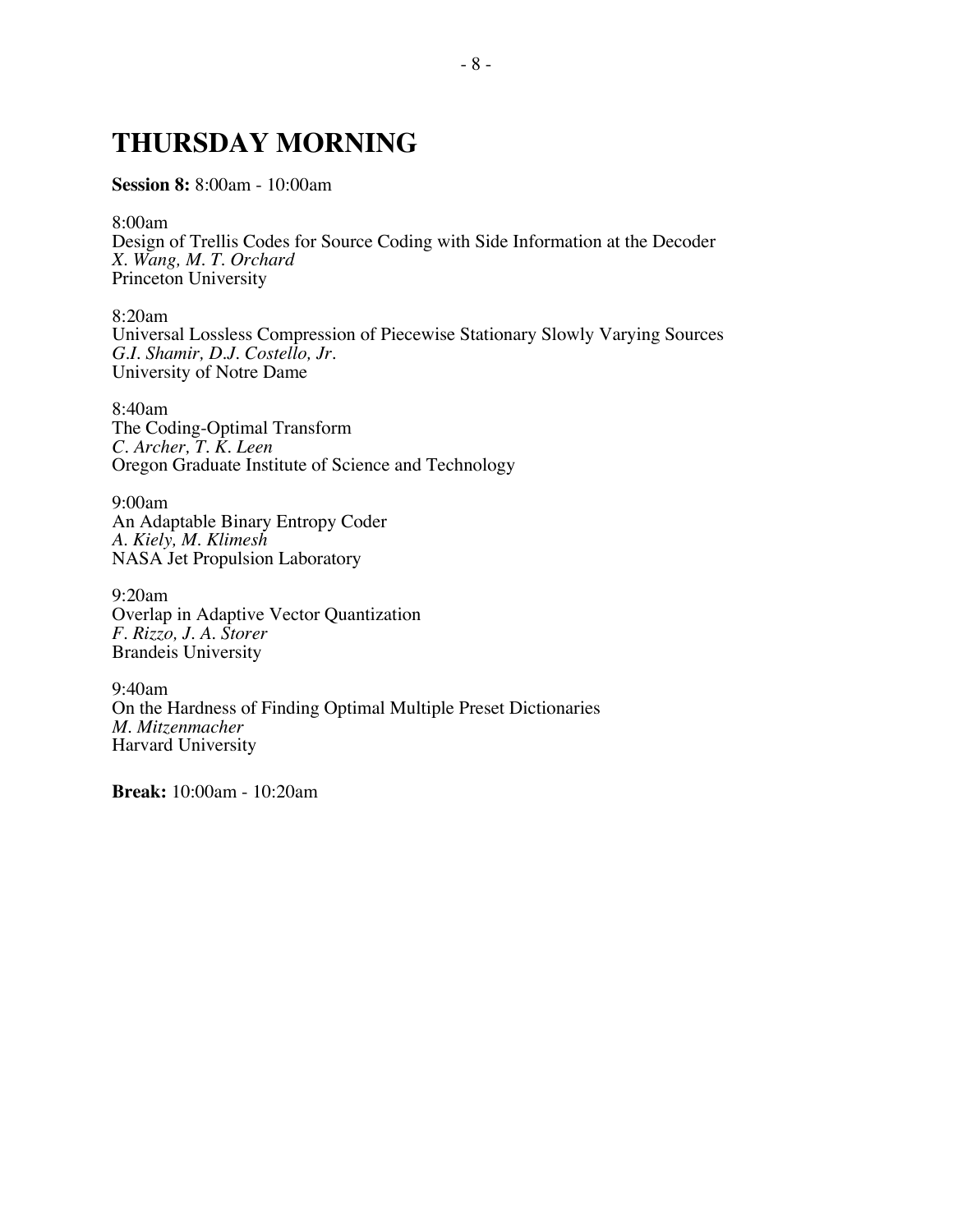## **THURSDAY MORNING**

**Session 8:** 8:00am - 10:00am

8:00am Design of Trellis Codes for Source Coding with Side Information at the Decoder *X. Wang, M. T. Orchard*

Princeton University

8:20am Universal Lossless Compression of Piecewise Stationary Slowly Varying Sources *G.I. Shamir, D.J. Costello, Jr.* University of Notre Dame

8:40am The Coding-Optimal Transform *C. Archer, T. K. Leen* Oregon Graduate Institute of Science and Technology

9:00am An Adaptable Binary Entropy Coder *A. Kiely, M. Klimesh* NASA Jet Propulsion Laboratory

9:20am Overlap in Adaptive Vector Quantization *F. Rizzo, J. A. Storer* Brandeis University

9:40am On the Hardness of Finding Optimal Multiple Preset Dictionaries *M. Mitzenmacher* Harvard University

**Break:** 10:00am - 10:20am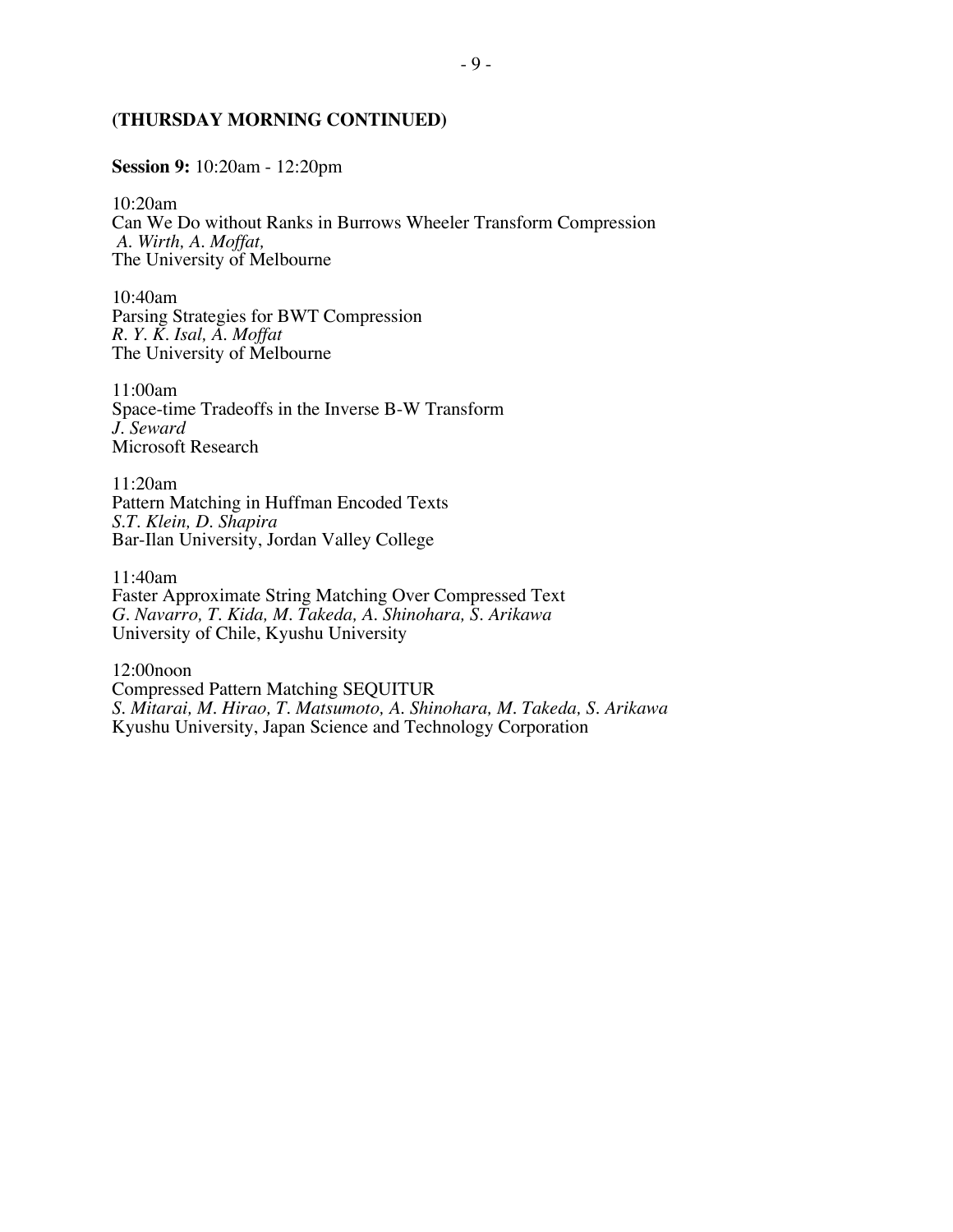### **(THURSDAY MORNING CONTINUED)**

**Session 9:** 10:20am - 12:20pm

10:20am Can We Do without Ranks in Burrows Wheeler Transform Compression  *A. Wirth, A. Moffat,* The University of Melbourne

10:40am Parsing Strategies for BWT Compression *R. Y. K. Isal, A. Moffat* The University of Melbourne

11:00am Space-time Tradeoffs in the Inverse B-W Transform *J. Seward* Microsoft Research

11:20am Pattern Matching in Huffman Encoded Texts *S.T. Klein, D. Shapira* Bar-Ilan University, Jordan Valley College

11:40am Faster Approximate String Matching Over Compressed Text *G. Navarro, T. Kida, M. Takeda, A. Shinohara, S. Arikawa* University of Chile, Kyushu University

12:00noon Compressed Pattern Matching SEQUITUR *S. Mitarai, M. Hirao, T. Matsumoto, A. Shinohara, M. Takeda, S. Arikawa* Kyushu University, Japan Science and Technology Corporation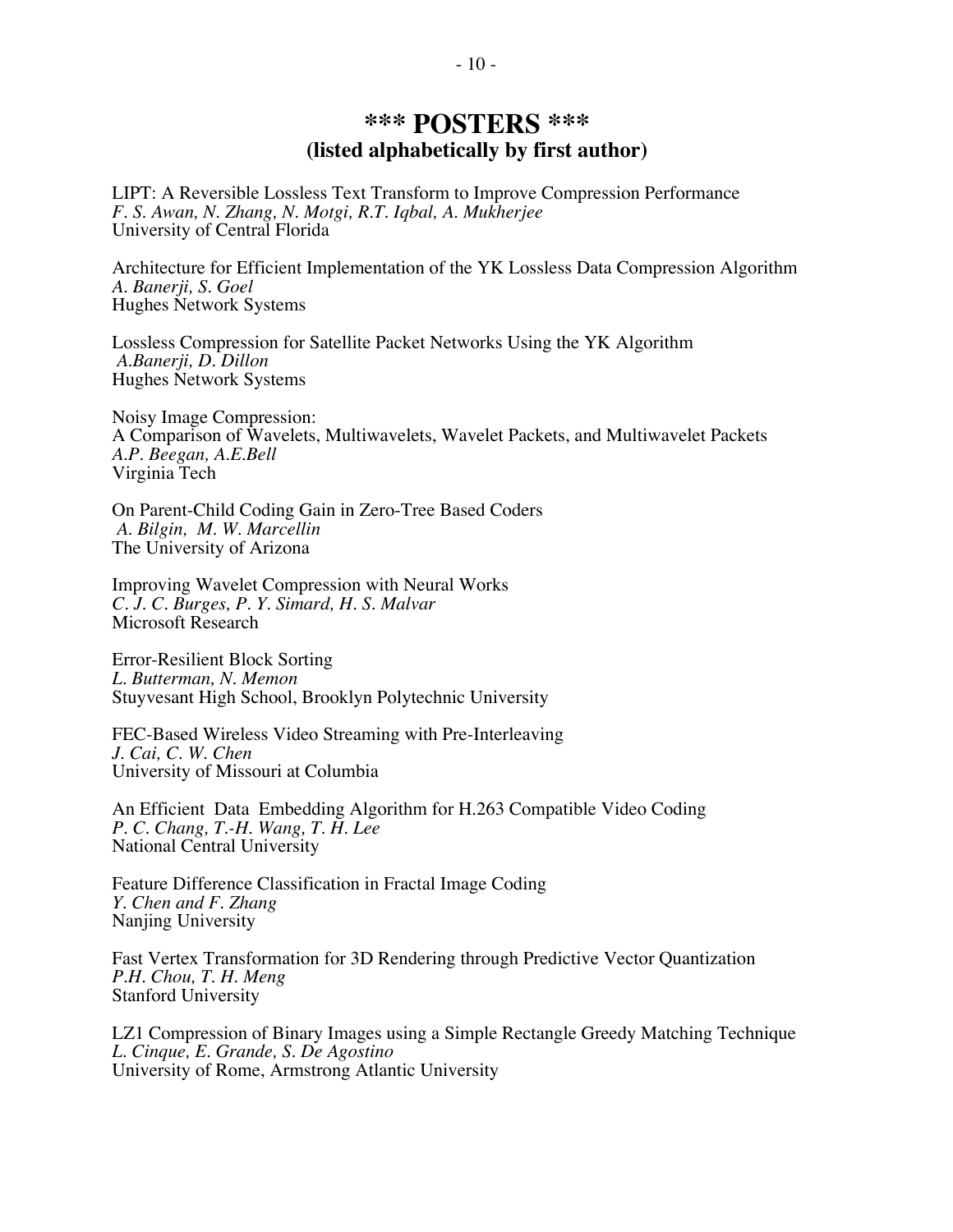## **\*\*\* POSTERS \*\*\* (listed alphabetically by first author)**

LIPT: A Reversible Lossless Text Transform to Improve Compression Performance *F. S. Awan, N. Zhang, N. Motgi, R.T. Iqbal, A. Mukherjee* University of Central Florida

Architecture for Efficient Implementation of the YK Lossless Data Compression Algorithm *A. Banerji, S. Goel* Hughes Network Systems

Lossless Compression for Satellite Packet Networks Using the YK Algorithm *A*.*Banerji, D. Dillon* Hughes Network Systems

Noisy Image Compression: A Comparison of Wavelets, Multiwavelets, Wavelet Packets, and Multiwavelet Packets *A.P. Beegan, A.E.Bell* Virginia Tech

On Parent-Child Coding Gain in Zero-Tree Based Coders *A*. *Bilgin, M. W. Marcellin* The University of Arizona

Improving Wavelet Compression with Neural Works *C. J. C. Burges, P. Y. Simard, H. S. Malvar* Microsoft Research

Error-Resilient Block Sorting *L. Butterman, N. Memon* Stuyvesant High School, Brooklyn Polytechnic University

FEC-Based Wireless Video Streaming with Pre-Interleaving *J. Cai, C. W. Chen* University of Missouri at Columbia

An Efficient Data Embedding Algorithm for H.263 Compatible Video Coding *P. C. Chang, T.-H. Wang, T. H. Lee* National Central University

Feature Difference Classification in Fractal Image Coding *Y. Chen and F. Zhang* Nanjing University

Fast Vertex Transformation for 3D Rendering through Predictive Vector Quantization *P.H. Chou, T. H. Meng* Stanford University

LZ1 Compression of Binary Images using a Simple Rectangle Greedy Matching Technique *L. Cinque, E. Grande, S. De Agostino* University of Rome, Armstrong Atlantic University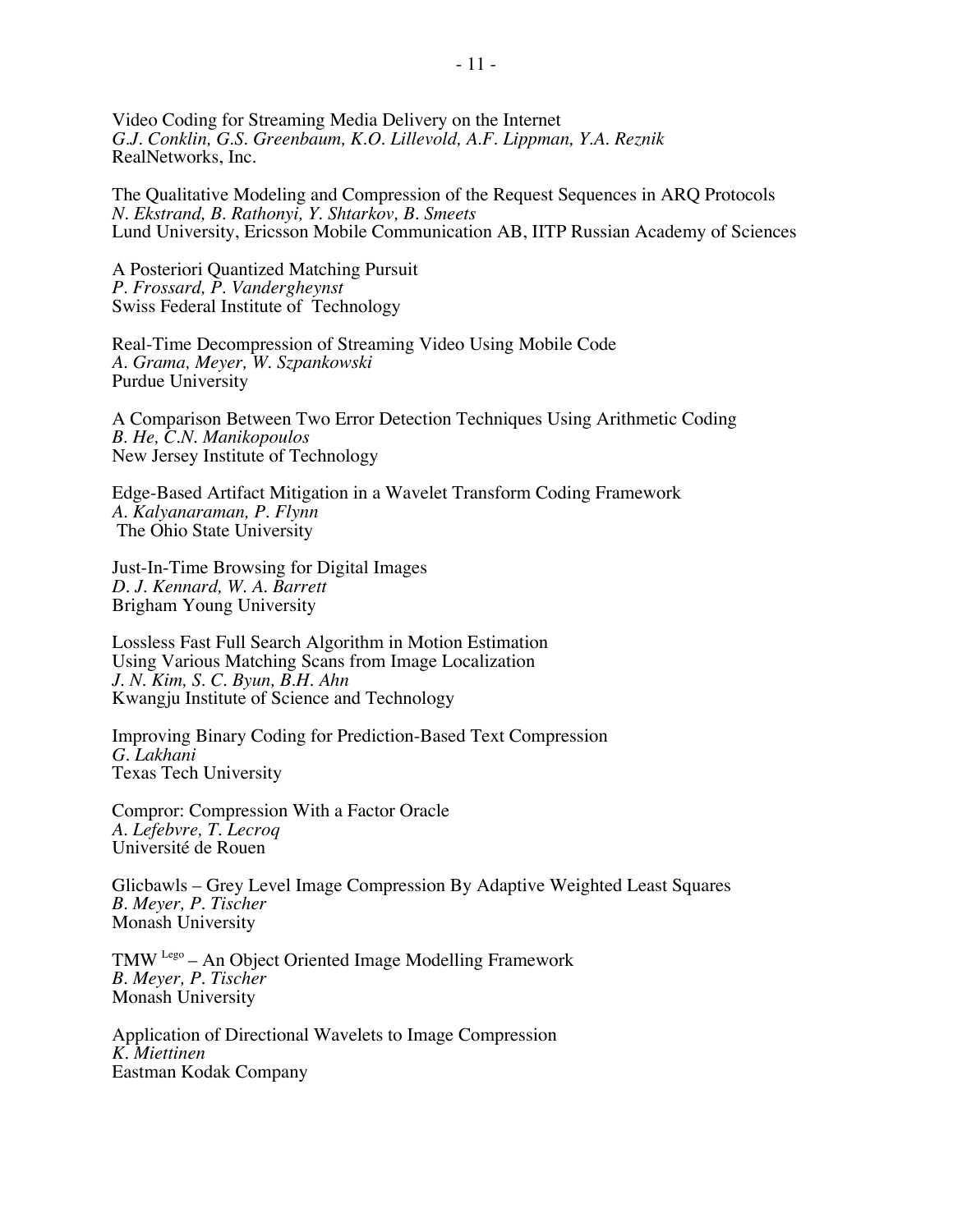Video Coding for Streaming Media Delivery on the Internet *G.J. Conklin, G.S. Greenbaum, K.O. Lillevold, A.F. Lippman, Y.A. Reznik* RealNetworks, Inc.

The Qualitative Modeling and Compression of the Request Sequences in ARQ Protocols *N. Ekstrand, B. Rathonyi, Y. Shtarkov, B. Smeets* Lund University, Ericsson Mobile Communication AB, IITP Russian Academy of Sciences

A Posteriori Quantized Matching Pursuit *P. Frossard, P. Vandergheynst* Swiss Federal Institute of Technology

Real-Time Decompression of Streaming Video Using Mobile Code *A. Grama, Meyer, W. Szpankowski* Purdue University

A Comparison Between Two Error Detection Techniques Using Arithmetic Coding *B*. *He, C.N. Manikopoulos* New Jersey Institute of Technology

Edge-Based Artifact Mitigation in a Wavelet Transform Coding Framework *A. Kalyanaraman, P. Flynn* The Ohio State University

Just-In-Time Browsing for Digital Images *D. J. Kennard, W. A. Barrett* Brigham Young University

Lossless Fast Full Search Algorithm in Motion Estimation Using Various Matching Scans from Image Localization *J. N. Kim, S. C. Byun, B.H. Ahn* Kwangju Institute of Science and Technology

Improving Binary Coding for Prediction-Based Text Compression *G. Lakhani* Texas Tech University

Compror: Compression With a Factor Oracle *A. Lefebvre, T. Lecroq* Université de Rouen

Glicbawls – Grey Level Image Compression By Adaptive Weighted Least Squares *B. Meyer, P. Tischer* Monash University

TMW Lego – An Object Oriented Image Modelling Framework *B. Meyer, P. Tischer* Monash University

Application of Directional Wavelets to Image Compression *K. Miettinen* Eastman Kodak Company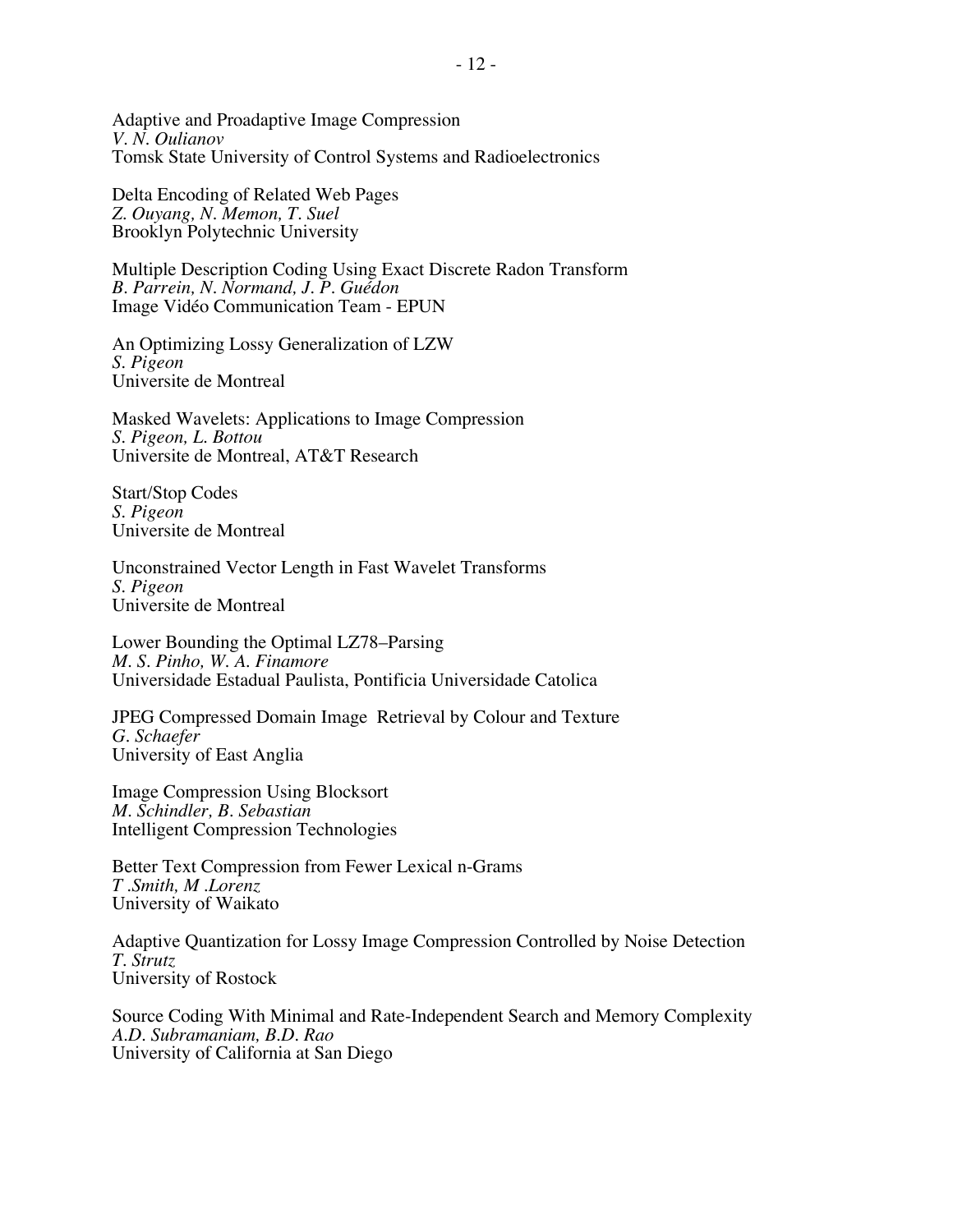Adaptive and Proadaptive Image Compression *V. N. Oulianov* Tomsk State University of Control Systems and Radioelectronics

Delta Encoding of Related Web Pages *Z. Ouyang, N. Memon, T. Suel* Brooklyn Polytechnic University

Multiple Description Coding Using Exact Discrete Radon Transform *B. Parrein, N. Normand, J. P. Guédon* Image Vidéo Communication Team - EPUN

An Optimizing Lossy Generalization of LZW *S. Pigeon* Universite de Montreal

Masked Wavelets: Applications to Image Compression *S. Pigeon, L. Bottou* Universite de Montreal, AT&T Research

Start/Stop Codes *S. Pigeon* Universite de Montreal

Unconstrained Vector Length in Fast Wavelet Transforms *S. Pigeon* Universite de Montreal

Lower Bounding the Optimal LZ78–Parsing *M. S. Pinho, W. A. Finamore* Universidade Estadual Paulista, Pontificia Universidade Catolica

JPEG Compressed Domain Image Retrieval by Colour and Texture *G. Schaefer* University of East Anglia

Image Compression Using Blocksort *M. Schindler, B. Sebastian* Intelligent Compression Technologies

Better Text Compression from Fewer Lexical n-Grams *T .Smith, M .Lorenz* University of Waikato

Adaptive Quantization for Lossy Image Compression Controlled by Noise Detection *T. Strutz* University of Rostock

Source Coding With Minimal and Rate-Independent Search and Memory Complexity *A.D. Subramaniam, B.D. Rao* University of California at San Diego